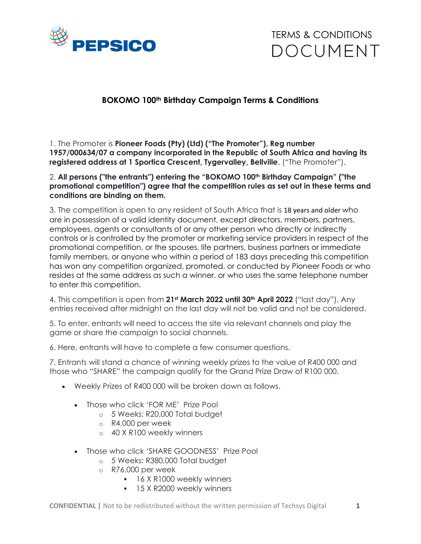

TERMS & CONDITIONS **DOCUMENT** 

## **BOKOMO 100th Birthday Campaign Terms & Conditions**

1. The Promoter is **Pioneer Foods (Pty) (Ltd) ("The Promoter"), Reg number 1957/000634/07 a company incorporated in the Republic of South Africa and having its registered address at 1 Sportica Crescent, Tygervalley, Bellville**. ("The Promoter").

## 2. **All persons ("the entrants") entering the "BOKOMO 100th Birthday Campaign" ("the promotional competition") agree that the competition rules as set out in these terms and conditions are binding on them.**

3. The competition is open to any resident of South Africa that is 18 years and older who are in possession of a valid identity document, except directors, members, partners, employees, agents or consultants of or any other person who directly or indirectly controls or is controlled by the promoter or marketing service providers in respect of the promotional competition, or the spouses, life partners, business partners or immediate family members, or anyone who within a period of 183 days preceding this competition has won any competition organized, promoted, or conducted by Pioneer Foods or who resides at the same address as such a winner, or who uses the same telephone number to enter this competition.

4. This competition is open from **21st March 2022 until 30th April 2022** ("last day"). Any entries received after midnight on the last day will not be valid and not be considered.

5. To enter, entrants will need to access the site via relevant channels and play the game or share the campaign to social channels.

6. Here, entrants will have to complete a few consumer questions.

7. Entrants will stand a chance of winning weekly prizes to the value of R400 000 and those who "SHARE" the campaign qualify for the Grand Prize Draw of R100 000.

- Weekly Prizes of R400 000 will be broken down as follows.
	- Those who click 'FOR ME' Prize Pool
		- o 5 Weeks: R20,000 Total budget
		- o R4,000 per week
		- o 40 X R100 weekly winners
	- Those who click 'SHARE GOODNESS' Prize Pool
		- o 5 Weeks: R380,000 Total budget
		- o R76,000 per week
			- **16 X R1000 weekly winners**
			- **15 X R2000 weekly winners**